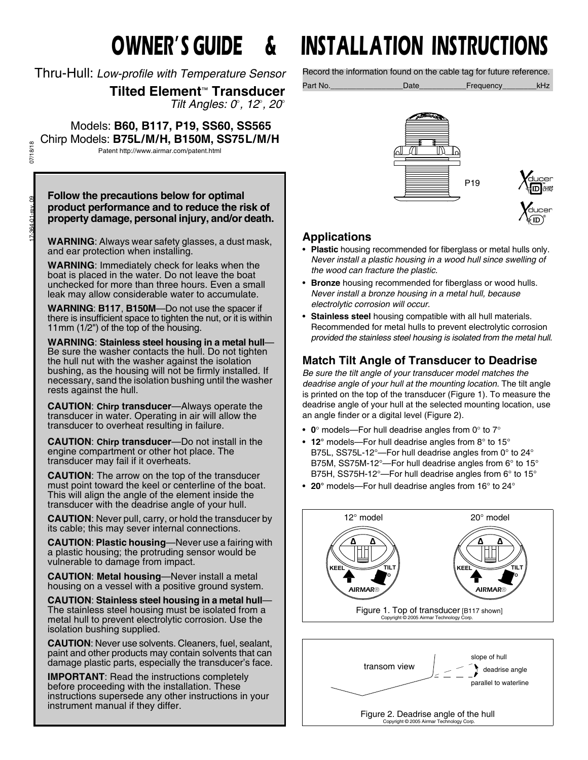Thru-Hull: *Low-profile with Temperature Sensor*

**Tilted Element**™ **Transducer** *Tilt Angles: 0, 12, 20*

 Models: **B60, B117, P19, SS60, SS565** Chirp Models: **B75L/M/H, B150M, SS75L/M/H** Patent http://www.airmar.com/patent.html

**Follow the precautions below for optimal product performance and to reduce the risk of property damage, personal injury, and/or death.**

**WARNING**: Always wear safety glasses, a dust mask, and ear protection when installing.

**WARNING**: Immediately check for leaks when the boat is placed in the water. Do not leave the boat unchecked for more than three hours. Even a small leak may allow considerable water to accumulate.

**WARNING**: **B117**, **B150M**—Do not use the spacer if there is insufficient space to tighten the nut, or it is within 11mm (1/2") of the top of the housing.

**WARNING**: **Stainless steel housing in a metal hull**— Be sure the washer contacts the hull. Do not tighten the hull nut with the washer against the isolation bushing, as the housing will not be firmly installed. If necessary, sand the isolation bushing until the washer rests against the hull.

**CAUTION**: **Chirp transducer**—Always operate the transducer in water. Operating in air will allow the transducer to overheat resulting in failure.

**CAUTION**: **Chirp transducer**—Do not install in the engine compartment or other hot place. The transducer may fail if it overheats.

**CAUTION**: The arrow on the top of the transducer must point toward the keel or centerline of the boat. This will align the angle of the element inside the transducer with the deadrise angle of your hull.

**CAUTION**: Never pull, carry, or hold the transducer by its cable; this may sever internal connections.

**CAUTION**: **Plastic housing**—Never use a fairing with a plastic housing; the protruding sensor would be vulnerable to damage from impact.

**CAUTION**: **Metal housing**—Never install a metal housing on a vessel with a positive ground system.

**CAUTION**: **Stainless steel housing in a metal hull**— The stainless steel housing must be isolated from a metal hull to prevent electrolytic corrosion. Use the isolation bushing supplied.

**CAUTION**: Never use solvents. Cleaners, fuel, sealant, paint and other products may contain solvents that can damage plastic parts, especially the transducer's face.

**IMPORTANT**: Read the instructions completely before proceeding with the installation. These instructions supersede any other instructions in your instrument manual if they differ.

# **OWNER'S GUIDE & INSTALLATION INSTRUCTIONS**

Record the information found on the cable tag for future reference.

Part No.\_\_\_\_\_\_\_\_\_\_\_\_\_\_\_\_\_Date\_\_\_\_\_\_\_\_\_\_\_Frequency\_\_\_\_\_\_\_\_kHz



# **Applications**

- **Plastic** housing recommended for fiberglass or metal hulls only. *Never install a plastic housing in a wood hull since swelling of the wood can fracture the plastic.*
- **Bronze** housing recommended for fiberglass or wood hulls. *Never install a bronze housing in a metal hull, because electrolytic corrosion will occur.*
- **Stainless steel** housing compatible with all hull materials. Recommended for metal hulls to prevent electrolytic corrosion *provided the stainless steel housing is isolated from the metal hull.*

# **Match Tilt Angle of Transducer to Deadrise**

*Be sure the tilt angle of your transducer model matches the deadrise angle of your hull at the mounting location.* The tilt angle is printed on the top of the transducer (Figure 1). To measure the deadrise angle of your hull at the selected mounting location, use an angle finder or a digital level (Figure 2).

- $0^{\circ}$  models—For hull deadrise angles from  $0^{\circ}$  to  $7^{\circ}$
- **12°** models—For hull deadrise angles from 8° to 15° B75L, SS75L-12°—For hull deadrise angles from 0° to 24° B75M, SS75M-12°—For hull deadrise angles from 6° to 15° B75H, SS75H-12°—For hull deadrise angles from 6° to 15°
- **20°** models—For hull deadrise angles from 16° to 24°



Figure 2. Deadrise angle of the hull Copyright © 2005 Airmar Technology Corp.

07/18/18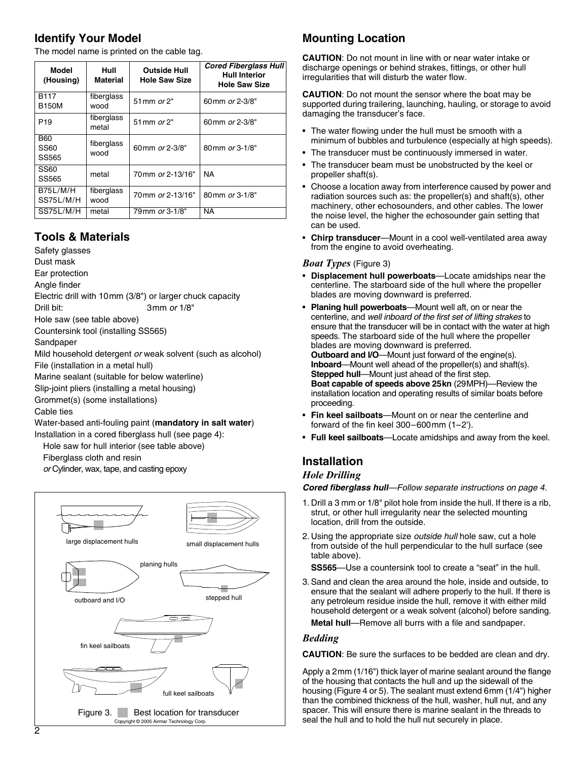# **Identify Your Model**

The model name is printed on the cable tag.

| Model<br>(Housing)           | Hull<br><b>Material</b> | <b>Outside Hull</b><br><b>Hole Saw Size</b> | <b>Cored Fiberglass Hull</b><br>Hull Interior<br><b>Hole Saw Size</b> |
|------------------------------|-------------------------|---------------------------------------------|-----------------------------------------------------------------------|
| <b>B117</b><br><b>B150M</b>  | fiberglass<br>wood      | 51 mm or 2"                                 | 60 mm or 2-3/8"                                                       |
| P <sub>19</sub>              | fiberglass<br>metal     | 51 mm or 2"                                 | 60 mm or 2-3/8"                                                       |
| <b>B60</b><br>SS60<br>SS565  | fiberglass<br>wood      | 60mm or 2-3/8"                              | 80mm or 3-1/8"                                                        |
| SS60<br>SS565                | metal                   | 70mm or 2-13/16"                            | NA                                                                    |
| <b>B75L/M/H</b><br>SS75L/M/H | fiberglass<br>wood      | 70mm or 2-13/16"                            | 80mm or 3-1/8"                                                        |
| SS75L/M/H                    | metal                   | 79 mm or 3-1/8"                             | <b>NA</b>                                                             |

# **Tools & Materials**

Safety glasses

Dust mask

Ear protection

Angle finder

Electric drill with 10mm (3/8") or larger chuck capacity Drill bit: 3mm *or* 1/8"

Hole saw (see table above)

Countersink tool (installing SS565)

Sandpaper

Mild household detergent *or* weak solvent (such as alcohol) File (installation in a metal hull)

Marine sealant (suitable for below waterline)

Slip-joint pliers (installing a metal housing)

Grommet(s) (some installations)

Cable ties

Water-based anti-fouling paint (**mandatory in salt water**)

Installation in a cored fiberglass hull (see page 4):

Hole saw for hull interior (see table above)

Fiberglass cloth and resin

*or* Cylinder, wax, tape, and casting epoxy



# **Mounting Location**

**CAUTION**: Do not mount in line with or near water intake or discharge openings or behind strakes, fittings, or other hull irregularities that will disturb the water flow.

**CAUTION**: Do not mount the sensor where the boat may be supported during trailering, launching, hauling, or storage to avoid damaging the transducer's face.

- The water flowing under the hull must be smooth with a minimum of bubbles and turbulence (especially at high speeds).
- The transducer must be continuously immersed in water.
- The transducer beam must be unobstructed by the keel or propeller shaft(s).
- Choose a location away from interference caused by power and radiation sources such as: the propeller(s) and shaft(s), other machinery, other echosounders, and other cables. The lower the noise level, the higher the echosounder gain setting that can be used.
- **Chirp transducer**—Mount in a cool well-ventilated area away from the engine to avoid overheating.

#### *Boat Types* (Figure 3)

- **Displacement hull powerboats**—Locate amidships near the centerline. The starboard side of the hull where the propeller blades are moving downward is preferred.
- **Planing hull powerboats**—Mount well aft, on or near the centerline, and *well inboard of the first set of lifting strakes* to ensure that the transducer will be in contact with the water at high speeds. The starboard side of the hull where the propeller blades are moving downward is preferred. **Outboard and I/O**—Mount just forward of the engine(s). **Inboard**—Mount well ahead of the propeller(s) and shaft(s). **Stepped hull**—Mount just ahead of the first step. **Boat capable of speeds above 25kn** (29MPH)—Review the installation location and operating results of similar boats before proceeding.
- **Fin keel sailboats**—Mount on or near the centerline and forward of the fin keel 300–600mm (1–2').
- **Full keel sailboats**—Locate amidships and away from the keel.

# **Installation**

#### *Hole Drilling*

*Cored fiberglass hull—Follow separate instructions on page 4.*

- 1. Drill a 3 mm or 1/8" pilot hole from inside the hull. If there is a rib, strut, or other hull irregularity near the selected mounting location, drill from the outside.
- 2. Using the appropriate size *outside hull* hole saw, cut a hole from outside of the hull perpendicular to the hull surface (see table above).

**SS565**—Use a countersink tool to create a "seat" in the hull.

3. Sand and clean the area around the hole, inside and outside, to ensure that the sealant will adhere properly to the hull. If there is any petroleum residue inside the hull, remove it with either mild household detergent or a weak solvent (alcohol) before sanding.

**Metal hull**—Remove all burrs with a file and sandpaper.

#### *Bedding*

**CAUTION**: Be sure the surfaces to be bedded are clean and dry.

Apply a 2mm (1/16") thick layer of marine sealant around the flange of the housing that contacts the hull and up the sidewall of the housing (Figure 4 or 5). The sealant must extend 6mm (1/4") higher than the combined thickness of the hull, washer, hull nut, and any spacer. This will ensure there is marine sealant in the threads to seal the hull and to hold the hull nut securely in place.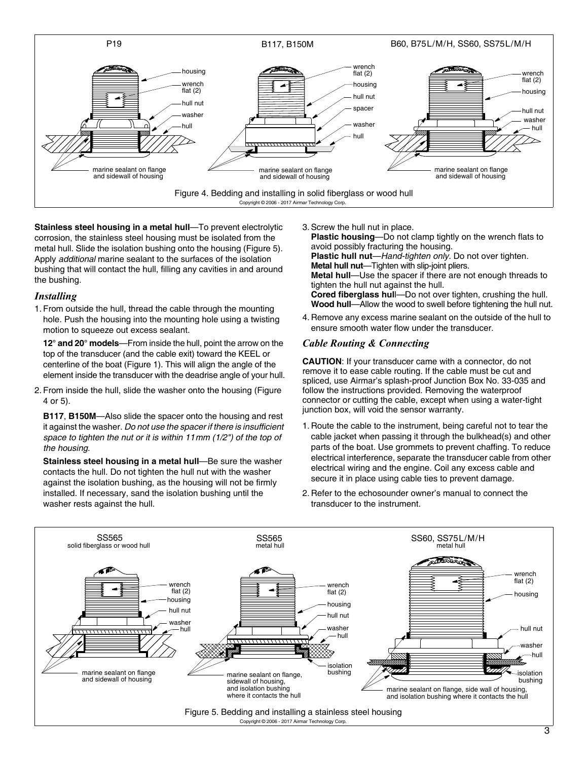

**Stainless steel housing in a metal hull**—To prevent electrolytic corrosion, the stainless steel housing must be isolated from the metal hull. Slide the isolation bushing onto the housing (Figure 5). Apply *additional* marine sealant to the surfaces of the isolation bushing that will contact the hull, filling any cavities in and around the bushing.

#### *Installing*

1. From outside the hull, thread the cable through the mounting hole. Push the housing into the mounting hole using a twisting motion to squeeze out excess sealant.

**12° and 20° models**—From inside the hull, point the arrow on the top of the transducer (and the cable exit) toward the KEEL or centerline of the boat (Figure 1). This will align the angle of the element inside the transducer with the deadrise angle of your hull.

2. From inside the hull, slide the washer onto the housing (Figure 4 or 5).

**B117**, **B150M**—Also slide the spacer onto the housing and rest it against the washer. *Do not use the spacer if there is insufficient space to tighten the nut or it is within 11mm (1/2") of the top of the housing*.

**Stainless steel housing in a metal hull—Be sure the washer** contacts the hull. Do not tighten the hull nut with the washer against the isolation bushing, as the housing will not be firmly installed. If necessary, sand the isolation bushing until the washer rests against the hull.

3. Screw the hull nut in place.

**Plastic housing—Do** not clamp tightly on the wrench flats to avoid possibly fracturing the housing. **Plastic hull nut**—*Hand-tighten only.* Do not over tighten. **Metal hull nut**—Tighten with slip-joint pliers. **Metal hull**—Use the spacer if there are not enough threads to tighten the hull nut against the hull. **Cored fiberglass hul**l—Do not over tighten, crushing the hull. **Wood hull**—Allow the wood to swell before tightening the hull nut.

4. Remove any excess marine sealant on the outside of the hull to ensure smooth water flow under the transducer.

#### *Cable Routing & Connecting*

**CAUTION**: If your transducer came with a connector, do not remove it to ease cable routing. If the cable must be cut and spliced, use Airmar's splash-proof Junction Box No. 33-035 and follow the instructions provided. Removing the waterproof connector or cutting the cable, except when using a water-tight junction box, will void the sensor warranty.

- 1. Route the cable to the instrument, being careful not to tear the cable jacket when passing it through the bulkhead(s) and other parts of the boat. Use grommets to prevent chaffing. To reduce electrical interference, separate the transducer cable from other electrical wiring and the engine. Coil any excess cable and secure it in place using cable ties to prevent damage.
- 2. Refer to the echosounder owner's manual to connect the transducer to the instrument.